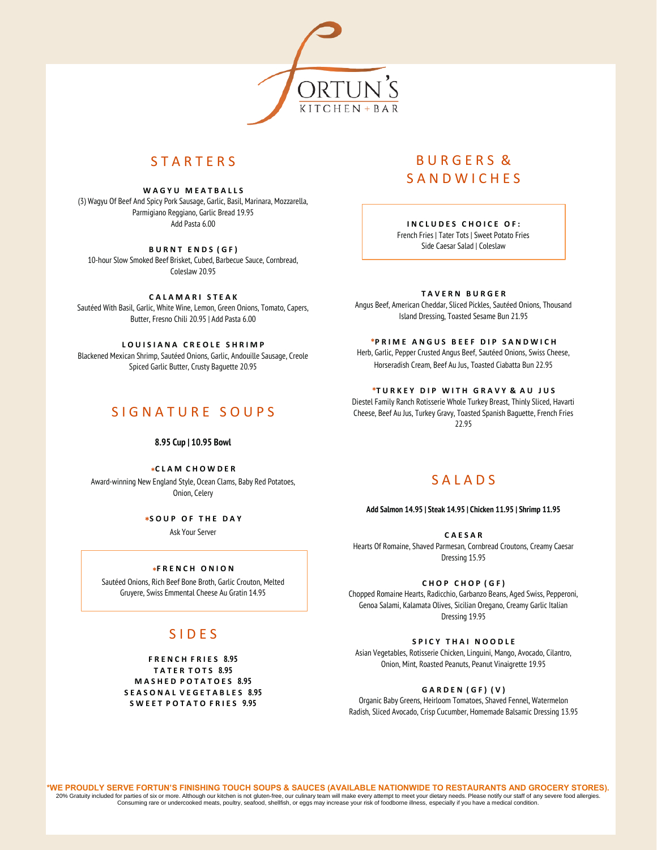

# **STARTFRS**

**W A G Y U M E A T B A L L S** (3) Wagyu Of Beef And Spicy Pork Sausage, Garlic, Basil, Marinara, Mozzarella, Parmigiano Reggiano, Garlic Bread 19.95 Add Pasta 6.00

**B U R N T E N D S ( G F )** 10-hour Slow Smoked Beef Brisket, Cubed, Barbecue Sauce, Cornbread, Coleslaw 20.95

**C A L A M A R I S T E A K** Sautéed With Basil, Garlic, White Wine, Lemon, Green Onions, Tomato, Capers, Butter, Fresno Chili 20.95 | Add Pasta 6.00

LOUISIANA CREOLE SHRIMP Blackened Mexican Shrimp, Sautéed Onions, Garlic, Andouille Sausage, Creole Spiced Garlic Butter, Crusty Baguette 20.95

## S I G N A T U R E S O U P S

### **8.95 Cup | 10.95 Bowl**

**\*C L A M C H O W D E R**

Award-winning New England Style, Ocean Clams, Baby Red Potatoes, Onion, Celery

**\*S O U P O F T H E D A Y**

Ask Your Server

## **\* F R E N C H O N I O N**

Sautéed Onions, Rich Beef Bone Broth, Garlic Crouton, Melted Gruyere, Swiss Emmental Cheese Au Gratin 14.95

# S I D E S

**F R E N C H F R I E S 8.95 T A T E R T O T S 8.95 M A S H E D P O T A T O E S 8.95 S E A S O N A L V E G E T A B L E S 8.95 S W E E T P O T A T O F R I E S 9.95**

# B U R G E R S & **SANDWICHES**

**I N C L U D E S C H O I C E O F :** French Fries | Tater Tots | Sweet Potato Fries

Side Caesar Salad | Coleslaw

### **T A V E R N B U R G E R**

Angus Beef, American Cheddar, Sliced Pickles, Sautéed Onions, Thousand Island Dressing, Toasted Sesame Bun 21.95

### **\*P R I M E A N G U S B E E F D I P S A N D W I C H**

Herb, Garlic, Pepper Crusted Angus Beef, Sautéed Onions, Swiss Cheese, Horseradish Cream, Beef Au Jus, Toasted Ciabatta Bun 22.95

### **\*T U R K E Y D I P W I T H G R A V Y & A U J U S**

Diestel Family Ranch Rotisserie Whole Turkey Breast, Thinly Sliced, Havarti Cheese, Beef Au Jus, Turkey Gravy, Toasted Spanish Baguette, French Fries 22.95

# S A L A D S

#### **Add Salmon 14.95 | Steak 14.95 | Chicken 11.95 | Shrimp 11.95**

**C A E S A R** Hearts Of Romaine, Shaved Parmesan, Cornbread Croutons, Creamy Caesar Dressing 15.95

### **C H O P C H O P ( G F )**

Chopped Romaine Hearts, Radicchio, Garbanzo Beans, Aged Swiss, Pepperoni, Genoa Salami, Kalamata Olives, Sicilian Oregano, Creamy Garlic Italian Dressing 19.95

## **S P I C Y T H A I N O O D L E**

Asian Vegetables, Rotisserie Chicken, Linguini, Mango, Avocado, Cilantro, Onion, Mint, Roasted Peanuts, Peanut Vinaigrette 19.95

### **G A R D E N ( G F ) ( V )**

Organic Baby Greens, Heirloom Tomatoes, Shaved Fennel, Watermelon Radish, Sliced Avocado, Crisp Cucumber, Homemade Balsamic Dressing 13.95

**\*WE PROUDLY SERVE FORTUN'S FINISHING TOUCH SOUPS & SAUCES (AVAILABLE NATIONWIDE TO RESTAURANTS AND GROCERY STORES).** 20% Gratuity included for parties of six or more. Although our kitchen is not gluten-free, our culinary team will make every attempt to meet your dietary needs. Please notify our staff of any severe food allergies.<br>Consumi